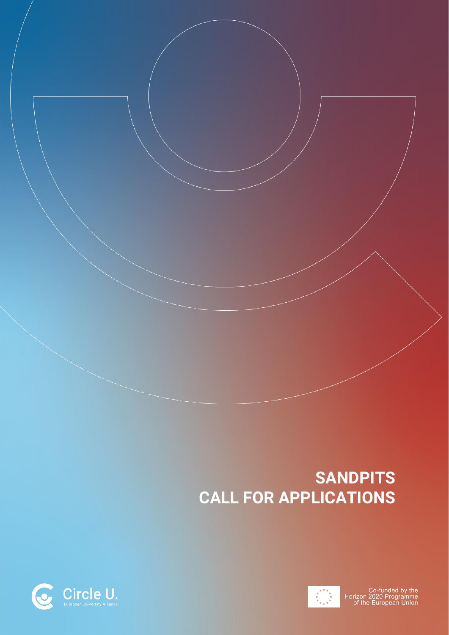# **SANDPITS CALL FOR APPLICATIONS**



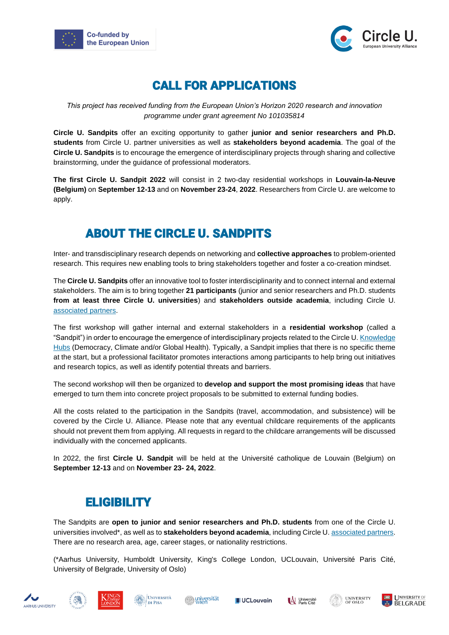



### CALL FOR APPLICATIONS

*This project has received funding from the European Union's Horizon 2020 research and innovation programme under grant agreement No 101035814*

**Circle U. Sandpits** offer an exciting opportunity to gather **junior and senior researchers and Ph.D. students** from Circle U. partner universities as well as **stakeholders beyond academia**. The goal of the **Circle U. Sandpits** is to encourage the emergence of interdisciplinary projects through sharing and collective brainstorming, under the guidance of professional moderators.

**The first Circle U. Sandpit 2022** will consist in 2 two-day residential workshops in **Louvain-la-Neuve (Belgium)** on **September 12-13** and on **November 23-24**, **2022**. Researchers from Circle U. are welcome to apply.

## ABOUT THE CIRCLE U. SANDPITS

Inter- and transdisciplinary research depends on networking and **collective approaches** to problem-oriented research. This requires new enabling tools to bring stakeholders together and foster a co-creation mindset.

The **Circle U. Sandpits** offer an innovative tool to foster interdisciplinarity and to connect internal and external stakeholders. The aim is to bring together **21 participants** (junior and senior researchers and Ph.D. students **from at least three Circle U. universities**) and **stakeholders outside academia**, including Circle U. [associated partners.](https://www.circle-u.eu/about/associated-partners/)

The first workshop will gather internal and external stakeholders in a **residential workshop** (called a "Sandpit") in order to encourage the emergence of interdisciplinary projects related to the Circle U. Knowledge [Hubs](https://www.circle-u.eu/initiatives/knowledge-hubs/) (Democracy, Climate and/or Global Health). Typically, a Sandpit implies that there is no specific theme at the start, but a professional facilitator promotes interactions among participants to help bring out initiatives and research topics, as well as identify potential threats and barriers.

The second workshop will then be organized to **develop and support the most promising ideas** that have emerged to turn them into concrete project proposals to be submitted to external funding bodies.

All the costs related to the participation in the Sandpits (travel, accommodation, and subsistence) will be covered by the Circle U. Alliance. Please note that any eventual childcare requirements of the applicants should not prevent them from applying. All requests in regard to the childcare arrangements will be discussed individually with the concerned applicants.

In 2022, the first **Circle U. Sandpit** will be held at the Université catholique de Louvain (Belgium) on **September 12-13** and on **November 23- 24, 2022**.

#### **ELIGIBILITY**

The Sandpits are **open to junior and senior researchers and Ph.D. students** from one of the Circle U. universities involved\*, as well as to **stakeholders beyond academia**, including Circle U[. associated partners.](https://www.circle-u.eu/about/associated-partners/) There are no research area, age, career stages, or nationality restrictions.

(\*Aarhus University, Humboldt University, King's College London, UCLouvain, Université Paris Cité, University of Belgrade, University of Oslo)